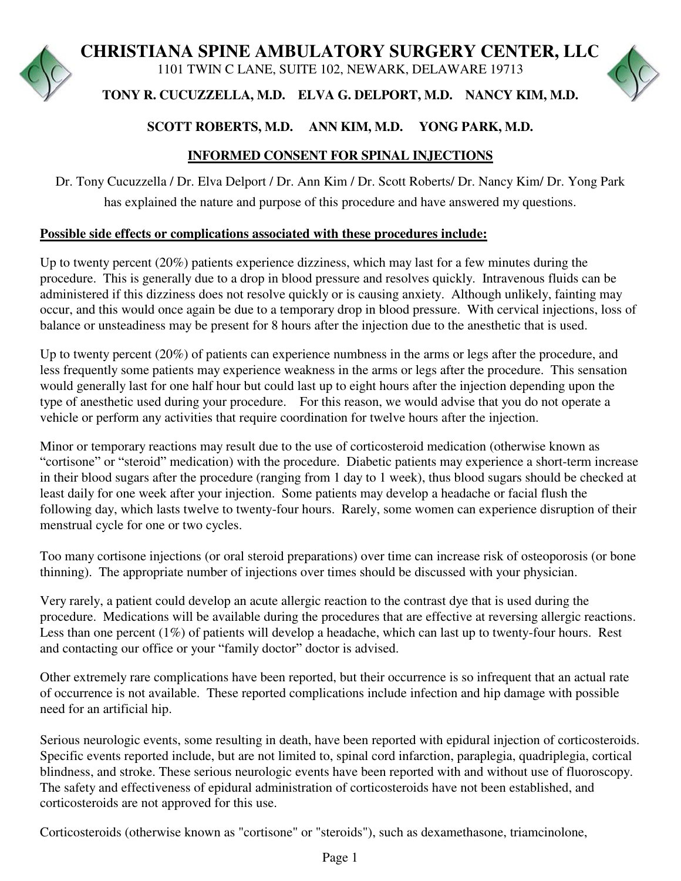# **CHRISTIANA SPINE AMBULATORY SURGERY CENTER, LLC**

1101 TWIN C LANE, SUITE 102, NEWARK, DELAWARE 19713



**TONY R. CUCUZZELLA, M.D. ELVA G. DELPORT, M.D. NANCY KIM, M.D.**

# **SCOTT ROBERTS, M.D. ANN KIM, M.D. YONG PARK, M.D.**

# **INFORMED CONSENT FOR SPINAL INJECTIONS**

Dr. Tony Cucuzzella / Dr. Elva Delport / Dr. Ann Kim / Dr. Scott Roberts/ Dr. Nancy Kim/ Dr. Yong Park has explained the nature and purpose of this procedure and have answered my questions.

## **Possible side effects or complications associated with these procedures include:**

Up to twenty percent (20%) patients experience dizziness, which may last for a few minutes during the procedure. This is generally due to a drop in blood pressure and resolves quickly. Intravenous fluids can be administered if this dizziness does not resolve quickly or is causing anxiety. Although unlikely, fainting may occur, and this would once again be due to a temporary drop in blood pressure. With cervical injections, loss of balance or unsteadiness may be present for 8 hours after the injection due to the anesthetic that is used.

Up to twenty percent (20%) of patients can experience numbness in the arms or legs after the procedure, and less frequently some patients may experience weakness in the arms or legs after the procedure. This sensation would generally last for one half hour but could last up to eight hours after the injection depending upon the type of anesthetic used during your procedure. For this reason, we would advise that you do not operate a vehicle or perform any activities that require coordination for twelve hours after the injection.

Minor or temporary reactions may result due to the use of corticosteroid medication (otherwise known as "cortisone" or "steroid" medication) with the procedure. Diabetic patients may experience a short-term increase in their blood sugars after the procedure (ranging from 1 day to 1 week), thus blood sugars should be checked at least daily for one week after your injection. Some patients may develop a headache or facial flush the following day, which lasts twelve to twenty-four hours. Rarely, some women can experience disruption of their menstrual cycle for one or two cycles.

Too many cortisone injections (or oral steroid preparations) over time can increase risk of osteoporosis (or bone thinning). The appropriate number of injections over times should be discussed with your physician.

Very rarely, a patient could develop an acute allergic reaction to the contrast dye that is used during the procedure. Medications will be available during the procedures that are effective at reversing allergic reactions. Less than one percent (1%) of patients will develop a headache, which can last up to twenty-four hours. Rest and contacting our office or your "family doctor" doctor is advised.

Other extremely rare complications have been reported, but their occurrence is so infrequent that an actual rate of occurrence is not available. These reported complications include infection and hip damage with possible need for an artificial hip.

Serious neurologic events, some resulting in death, have been reported with epidural injection of corticosteroids. Specific events reported include, but are not limited to, spinal cord infarction, paraplegia, quadriplegia, cortical blindness, and stroke. These serious neurologic events have been reported with and without use of fluoroscopy. The safety and effectiveness of epidural administration of corticosteroids have not been established, and corticosteroids are not approved for this use.

Corticosteroids (otherwise known as "cortisone" or "steroids"), such as dexamethasone, triamcinolone,